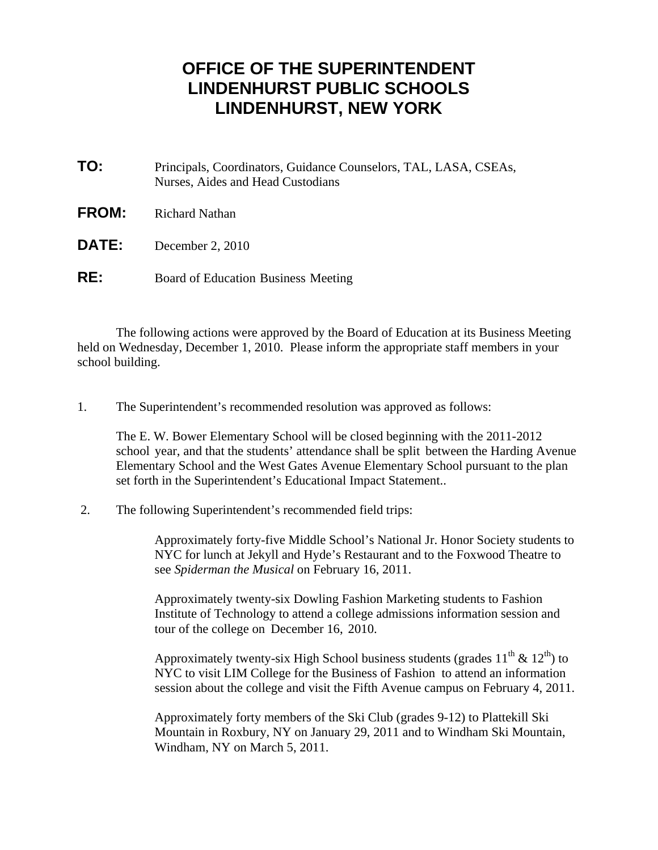## **OFFICE OF THE SUPERINTENDENT LINDENHURST PUBLIC SCHOOLS LINDENHURST, NEW YORK**

- **TO:** Principals, Coordinators, Guidance Counselors, TAL, LASA, CSEAs, Nurses, Aides and Head Custodians
- **FROM:** Richard Nathan
- **DATE:** December 2, 2010
- **RE:** Board of Education Business Meeting

 The following actions were approved by the Board of Education at its Business Meeting held on Wednesday, December 1, 2010. Please inform the appropriate staff members in your school building.

1. The Superintendent's recommended resolution was approved as follows:

 The E. W. Bower Elementary School will be closed beginning with the 2011-2012 school year, and that the students' attendance shall be split between the Harding Avenue Elementary School and the West Gates Avenue Elementary School pursuant to the plan set forth in the Superintendent's Educational Impact Statement..

2. The following Superintendent's recommended field trips:

 Approximately forty-five Middle School's National Jr. Honor Society students to NYC for lunch at Jekyll and Hyde's Restaurant and to the Foxwood Theatre to see *Spiderman the Musical* on February 16, 2011.

 Approximately twenty-six Dowling Fashion Marketing students to Fashion Institute of Technology to attend a college admissions information session and tour of the college on December 16, 2010.

Approximately twenty-six High School business students (grades  $11^{th} \& 12^{th}$ ) to NYC to visit LIM College for the Business of Fashion to attend an information session about the college and visit the Fifth Avenue campus on February 4, 2011.

 Approximately forty members of the Ski Club (grades 9-12) to Plattekill Ski Mountain in Roxbury, NY on January 29, 2011 and to Windham Ski Mountain, Windham, NY on March 5, 2011.